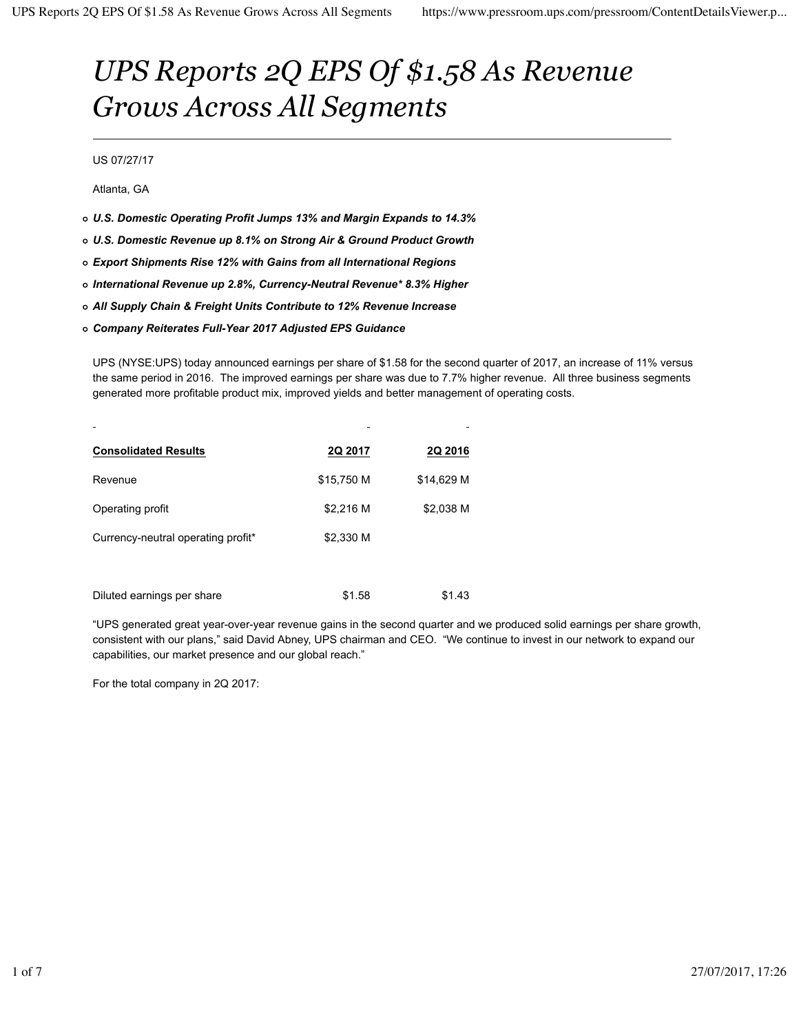# *UPS Reports 2Q EPS Of \$1.58 As Revenue Grows Across All Segments*

### US 07/27/17

Atlanta, GA

- *U.S. Domestic Operating Profit Jumps 13% and Margin Expands to 14.3%*
- *U.S. Domestic Revenue up 8.1% on Strong Air & Ground Product Growth*
- *Export Shipments Rise 12% with Gains from all International Regions*
- *International Revenue up 2.8%, Currency-Neutral Revenue\* 8.3% Higher*
- *All Supply Chain & Freight Units Contribute to 12% Revenue Increase*
- *Company Reiterates Full-Year 2017 Adjusted EPS Guidance*

UPS (NYSE:UPS) today announced earnings per share of \$1.58 for the second quarter of 2017, an increase of 11% versus the same period in 2016. The improved earnings per share was due to 7.7% higher revenue. All three business segments generated more profitable product mix, improved yields and better management of operating costs.

| <b>Consolidated Results</b>        | 2Q 2017    | 2Q 2016    |
|------------------------------------|------------|------------|
| Revenue                            | \$15,750 M | \$14,629 M |
| Operating profit                   | \$2,216 M  | \$2,038 M  |
| Currency-neutral operating profit* | \$2,330 M  |            |
| Diluted earnings per share         | \$1.58     | \$1.43     |

"UPS generated great year-over-year revenue gains in the second quarter and we produced solid earnings per share growth, consistent with our plans," said David Abney, UPS chairman and CEO. "We continue to invest in our network to expand our capabilities, our market presence and our global reach."

For the total company in 2Q 2017: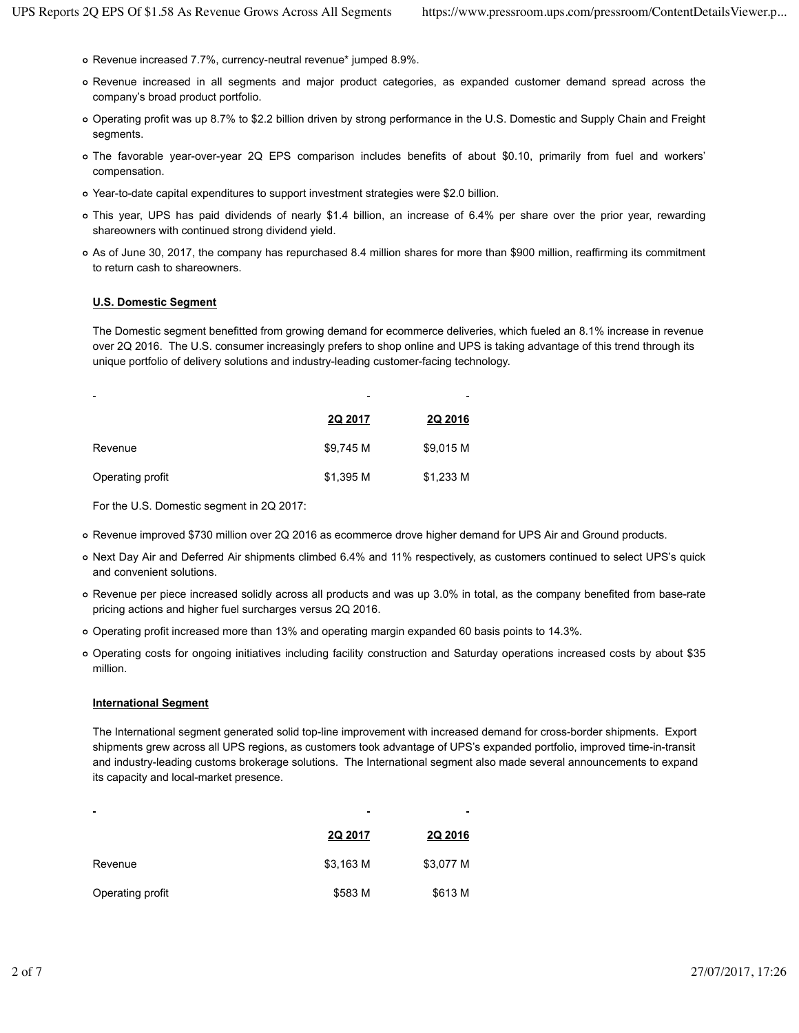- Revenue increased 7.7%, currency-neutral revenue\* jumped 8.9%.
- Revenue increased in all segments and major product categories, as expanded customer demand spread across the company's broad product portfolio.
- Operating profit was up 8.7% to \$2.2 billion driven by strong performance in the U.S. Domestic and Supply Chain and Freight segments.
- The favorable year-over-year 2Q EPS comparison includes benefits of about \$0.10, primarily from fuel and workers' compensation.
- Year-to-date capital expenditures to support investment strategies were \$2.0 billion.
- This year, UPS has paid dividends of nearly \$1.4 billion, an increase of 6.4% per share over the prior year, rewarding shareowners with continued strong dividend yield.
- As of June 30, 2017, the company has repurchased 8.4 million shares for more than \$900 million, reaffirming its commitment to return cash to shareowners.

# **U.S. Domestic Segment**

The Domestic segment benefitted from growing demand for ecommerce deliveries, which fueled an 8.1% increase in revenue over 2Q 2016. The U.S. consumer increasingly prefers to shop online and UPS is taking advantage of this trend through its unique portfolio of delivery solutions and industry-leading customer-facing technology.

| $\sim$           |           |           |
|------------------|-----------|-----------|
|                  | 2Q 2017   | 2Q 2016   |
| Revenue          | \$9,745 M | \$9,015 M |
| Operating profit | \$1,395 M | \$1,233 M |

For the U.S. Domestic segment in 2Q 2017:

- Revenue improved \$730 million over 2Q 2016 as ecommerce drove higher demand for UPS Air and Ground products.
- Next Day Air and Deferred Air shipments climbed 6.4% and 11% respectively, as customers continued to select UPS's quick and convenient solutions.
- Revenue per piece increased solidly across all products and was up 3.0% in total, as the company benefited from base-rate pricing actions and higher fuel surcharges versus 2Q 2016.
- Operating profit increased more than 13% and operating margin expanded 60 basis points to 14.3%.
- Operating costs for ongoing initiatives including facility construction and Saturday operations increased costs by about \$35 million.

# **International Segment**

The International segment generated solid top-line improvement with increased demand for cross-border shipments. Export shipments grew across all UPS regions, as customers took advantage of UPS's expanded portfolio, improved time-in-transit and industry-leading customs brokerage solutions. The International segment also made several announcements to expand its capacity and local-market presence.

| $\overline{\phantom{a}}$ | $\overline{\phantom{a}}$ |           |
|--------------------------|--------------------------|-----------|
|                          | 2Q 2017                  | 2Q 2016   |
| Revenue                  | \$3,163 M                | \$3,077 M |
| Operating profit         | \$583 M                  | \$613 M   |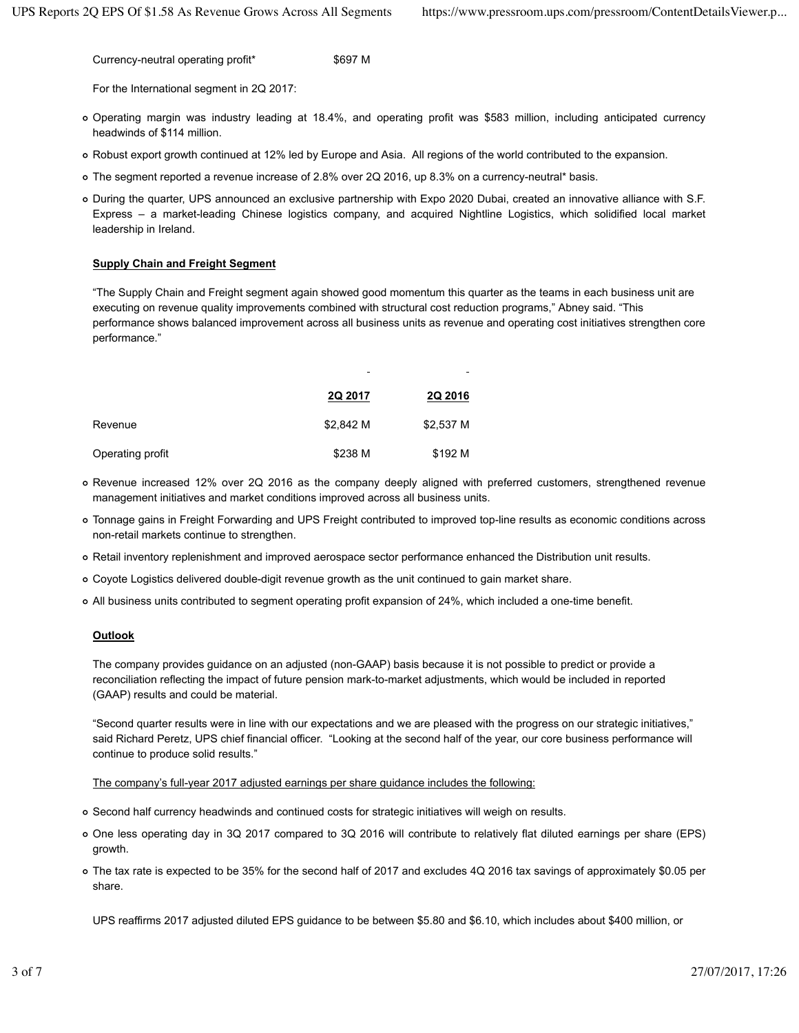Currency-neutral operating profit\* \$697 M

For the International segment in 2Q 2017:

- Operating margin was industry leading at 18.4%, and operating profit was \$583 million, including anticipated currency headwinds of \$114 million.
- Robust export growth continued at 12% led by Europe and Asia. All regions of the world contributed to the expansion.
- The segment reported a revenue increase of 2.8% over 2Q 2016, up 8.3% on a currency-neutral\* basis.
- During the quarter, UPS announced an exclusive partnership with Expo 2020 Dubai, created an innovative alliance with S.F. Express – a market-leading Chinese logistics company, and acquired Nightline Logistics, which solidified local market leadership in Ireland.

# **Supply Chain and Freight Segment**

"The Supply Chain and Freight segment again showed good momentum this quarter as the teams in each business unit are executing on revenue quality improvements combined with structural cost reduction programs," Abney said. "This performance shows balanced improvement across all business units as revenue and operating cost initiatives strengthen core performance."

|                  | 2Q 2017   | 2Q 2016   |
|------------------|-----------|-----------|
| Revenue          | \$2,842 M | \$2,537 M |
| Operating profit | \$238 M   | \$192 M   |

- Revenue increased 12% over 2Q 2016 as the company deeply aligned with preferred customers, strengthened revenue management initiatives and market conditions improved across all business units.
- Tonnage gains in Freight Forwarding and UPS Freight contributed to improved top-line results as economic conditions across non-retail markets continue to strengthen.
- Retail inventory replenishment and improved aerospace sector performance enhanced the Distribution unit results.
- Coyote Logistics delivered double-digit revenue growth as the unit continued to gain market share.
- All business units contributed to segment operating profit expansion of 24%, which included a one-time benefit.

# **Outlook**

The company provides guidance on an adjusted (non-GAAP) basis because it is not possible to predict or provide a reconciliation reflecting the impact of future pension mark-to-market adjustments, which would be included in reported (GAAP) results and could be material.

"Second quarter results were in line with our expectations and we are pleased with the progress on our strategic initiatives," said Richard Peretz, UPS chief financial officer. "Looking at the second half of the year, our core business performance will continue to produce solid results."

The company's full-year 2017 adjusted earnings per share guidance includes the following:

- o Second half currency headwinds and continued costs for strategic initiatives will weigh on results.
- One less operating day in 3Q 2017 compared to 3Q 2016 will contribute to relatively flat diluted earnings per share (EPS) growth.
- The tax rate is expected to be 35% for the second half of 2017 and excludes 4Q 2016 tax savings of approximately \$0.05 per share.

UPS reaffirms 2017 adjusted diluted EPS guidance to be between \$5.80 and \$6.10, which includes about \$400 million, or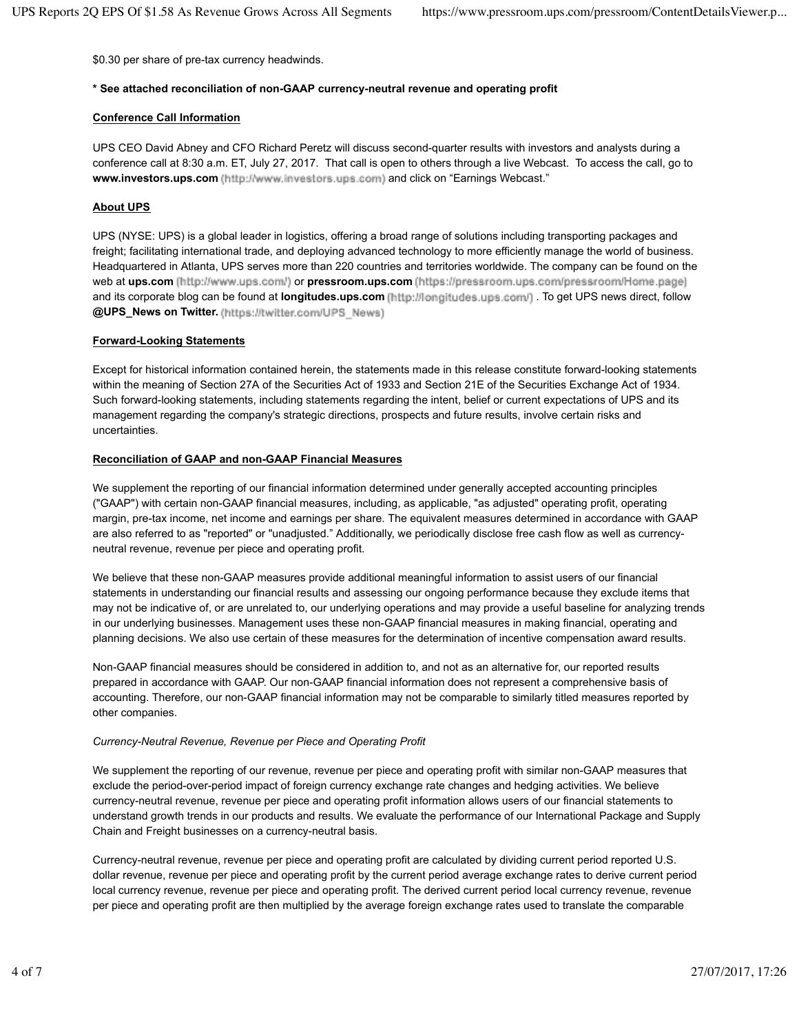\$0.30 per share of pre-tax currency headwinds.

## **\* See attached reconciliation of non-GAAP currency-neutral revenue and operating profit**

## **Conference Call Information**

UPS CEO David Abney and CFO Richard Peretz will discuss second-quarter results with investors and analysts during a conference call at 8:30 a.m. ET, July 27, 2017. That call is open to others through a live Webcast. To access the call, go to www.investors.ups.com (http://www.investors.ups.com) and click on "Earnings Webcast."

# **About UPS**

UPS (NYSE: UPS) is a global leader in logistics, offering a broad range of solutions including transporting packages and freight; facilitating international trade, and deploying advanced technology to more efficiently manage the world of business. Headquartered in Atlanta, UPS serves more than 220 countries and territories worldwide. The company can be found on the web at ups.com (http://www.ups.com/) or pressroom.ups.com (https://pressroom.ups.com/pressroom/Home.page) and its corporate blog can be found at **longitudes.ups.com** (http://longitudes.ups.com). To get UPS news direct, follow @UPS\_News on Twitter. (https://twitter.com/UPS\_News)

# **Forward-Looking Statements**

Except for historical information contained herein, the statements made in this release constitute forward-looking statements within the meaning of Section 27A of the Securities Act of 1933 and Section 21E of the Securities Exchange Act of 1934. Such forward-looking statements, including statements regarding the intent, belief or current expectations of UPS and its management regarding the company's strategic directions, prospects and future results, involve certain risks and uncertainties.

# **Reconciliation of GAAP and non-GAAP Financial Measures**

We supplement the reporting of our financial information determined under generally accepted accounting principles ("GAAP") with certain non-GAAP financial measures, including, as applicable, "as adjusted" operating profit, operating margin, pre-tax income, net income and earnings per share. The equivalent measures determined in accordance with GAAP are also referred to as "reported" or "unadjusted." Additionally, we periodically disclose free cash flow as well as currencyneutral revenue, revenue per piece and operating profit.

We believe that these non-GAAP measures provide additional meaningful information to assist users of our financial statements in understanding our financial results and assessing our ongoing performance because they exclude items that may not be indicative of, or are unrelated to, our underlying operations and may provide a useful baseline for analyzing trends in our underlying businesses. Management uses these non-GAAP financial measures in making financial, operating and planning decisions. We also use certain of these measures for the determination of incentive compensation award results.

Non-GAAP financial measures should be considered in addition to, and not as an alternative for, our reported results prepared in accordance with GAAP. Our non-GAAP financial information does not represent a comprehensive basis of accounting. Therefore, our non-GAAP financial information may not be comparable to similarly titled measures reported by other companies.

# *Currency-Neutral Revenue, Revenue per Piece and Operating Profit*

We supplement the reporting of our revenue, revenue per piece and operating profit with similar non-GAAP measures that exclude the period-over-period impact of foreign currency exchange rate changes and hedging activities. We believe currency-neutral revenue, revenue per piece and operating profit information allows users of our financial statements to understand growth trends in our products and results. We evaluate the performance of our International Package and Supply Chain and Freight businesses on a currency-neutral basis.

Currency-neutral revenue, revenue per piece and operating profit are calculated by dividing current period reported U.S. dollar revenue, revenue per piece and operating profit by the current period average exchange rates to derive current period local currency revenue, revenue per piece and operating profit. The derived current period local currency revenue, revenue per piece and operating profit are then multiplied by the average foreign exchange rates used to translate the comparable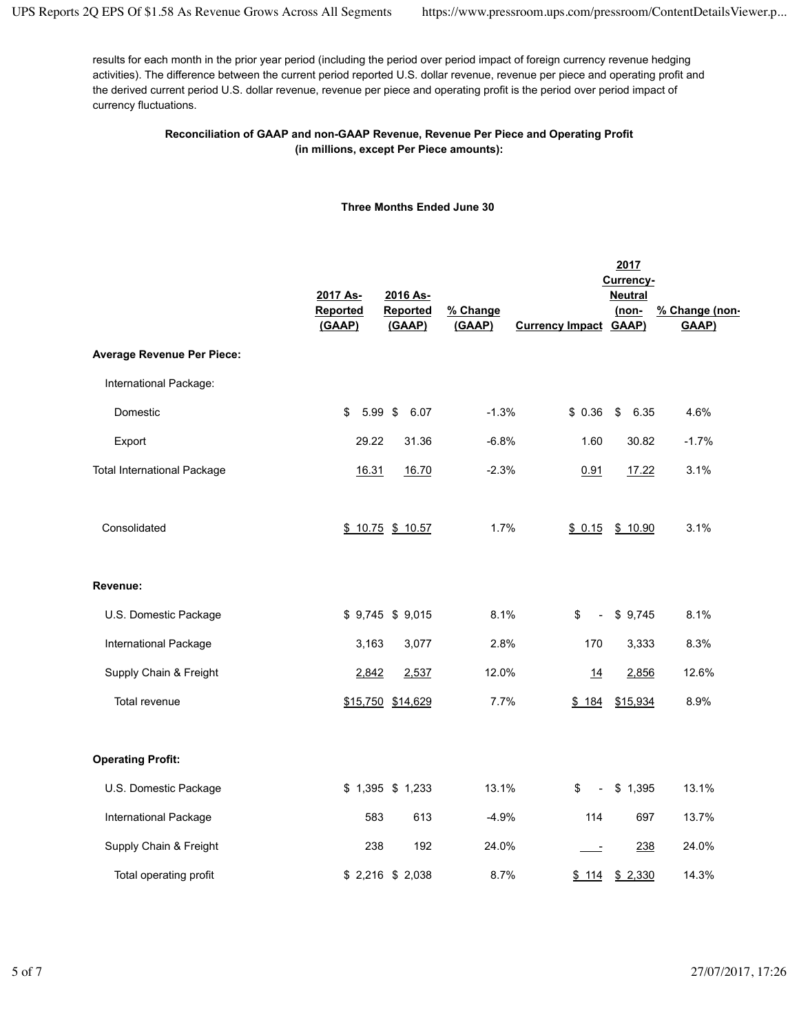results for each month in the prior year period (including the period over period impact of foreign currency revenue hedging activities). The difference between the current period reported U.S. dollar revenue, revenue per piece and operating profit and the derived current period U.S. dollar revenue, revenue per piece and operating profit is the period over period impact of currency fluctuations.

## **Reconciliation of GAAP and non-GAAP Revenue, Revenue Per Piece and Operating Profit (in millions, except Per Piece amounts):**

#### **Three Months Ended June 30**

|                                    | 2017 As-<br>Reported<br>(GAAP) | 2016 As-<br><b>Reported</b><br>(GAAP) | % Change<br>(GAAP) | <b>Currency Impact GAAP)</b>   | 2017<br>Currency-<br><b>Neutral</b><br>$(non-$ | % Change (non-<br><b>GAAP)</b> |
|------------------------------------|--------------------------------|---------------------------------------|--------------------|--------------------------------|------------------------------------------------|--------------------------------|
| <b>Average Revenue Per Piece:</b>  |                                |                                       |                    |                                |                                                |                                |
| International Package:             |                                |                                       |                    |                                |                                                |                                |
| Domestic                           | \$<br>$5.99$ \$                | 6.07                                  | $-1.3%$            | \$0.36                         | 6.35<br>- \$                                   | 4.6%                           |
| Export                             | 29.22                          | 31.36                                 | $-6.8%$            | 1.60                           | 30.82                                          | $-1.7%$                        |
| <b>Total International Package</b> | 16.31                          | 16.70                                 | $-2.3%$            | 0.91                           | 17.22                                          | 3.1%                           |
| Consolidated                       |                                | $$10.75$ \$ 10.57                     | 1.7%               | \$0.15                         | \$10.90                                        | 3.1%                           |
| Revenue:                           |                                |                                       |                    |                                |                                                |                                |
| U.S. Domestic Package              |                                | \$9,745 \$9,015                       | 8.1%               | \$<br>$\overline{\phantom{a}}$ | \$9,745                                        | 8.1%                           |
| International Package              | 3,163                          | 3,077                                 | 2.8%               | 170                            | 3,333                                          | 8.3%                           |
| Supply Chain & Freight             | 2,842                          | 2,537                                 | 12.0%              | 14                             | 2,856                                          | 12.6%                          |
| Total revenue                      |                                | \$15,750 \$14,629                     | 7.7%               | \$184                          | \$15,934                                       | 8.9%                           |
| <b>Operating Profit:</b>           |                                |                                       |                    |                                |                                                |                                |
| U.S. Domestic Package              |                                | $$1,395$ \$ 1,233                     | 13.1%              | \$<br>$\blacksquare$           | \$1,395                                        | 13.1%                          |
| International Package              | 583                            | 613                                   | $-4.9%$            | 114                            | 697                                            | 13.7%                          |
| Supply Chain & Freight             | 238                            | 192                                   | 24.0%              | $\equiv$                       | 238                                            | 24.0%                          |
| Total operating profit             |                                | \$2,216 \$2,038                       | 8.7%               | \$114                          | \$2,330                                        | 14.3%                          |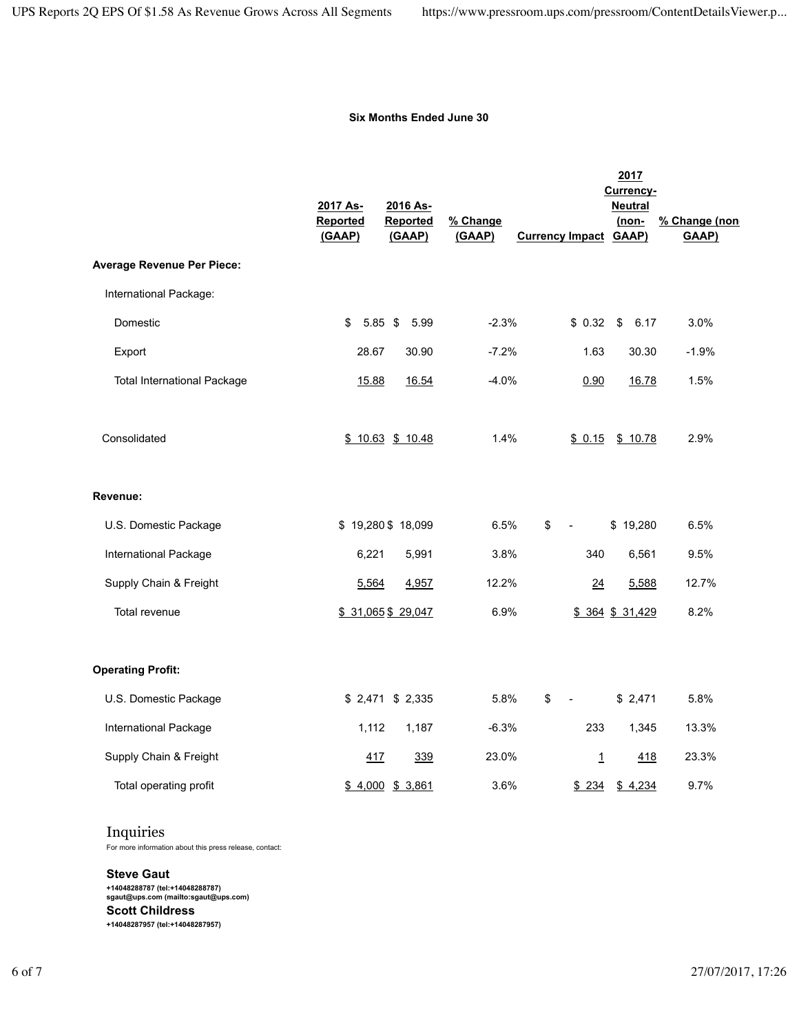## **Six Months Ended June 30**

|                                    |                         |                                        | 2017<br>Currency-        |
|------------------------------------|-------------------------|----------------------------------------|--------------------------|
|                                    | 2016 As-<br>2017 As-    |                                        | <b>Neutral</b>           |
|                                    | Reported<br>Reported    | % Change                               | $non-$<br>% Change (non  |
|                                    | (GAAP)<br>(GAAP)        | (GAAP)<br><b>Currency Impact GAAP)</b> | GAAP)                    |
| <b>Average Revenue Per Piece:</b>  |                         |                                        |                          |
| International Package:             |                         |                                        |                          |
| Domestic                           | \$<br>$5.85$ \$<br>5.99 | $-2.3%$<br>$$0.32$ \$                  | 3.0%<br>6.17             |
| Export                             | 28.67<br>30.90          | $-7.2%$<br>1.63                        | $-1.9%$<br>30.30         |
| <b>Total International Package</b> | 15.88<br>16.54          | $-4.0%$<br>0.90                        | 1.5%<br>16.78            |
| Consolidated                       | $$10.63$$ \$ 10.48      | 1.4%                                   | 2.9%<br>$$0.15$ $$10.78$ |
| Revenue:                           |                         |                                        |                          |
| U.S. Domestic Package              | \$19,280\$18,099        | 6.5%<br>\$<br>$\blacksquare$           | \$19,280<br>6.5%         |
| International Package              | 6,221<br>5,991          | 3.8%<br>340                            | 6,561<br>9.5%            |
| Supply Chain & Freight             | 4,957<br>5,564          | 12.2%<br>$\overline{24}$               | 12.7%<br>5,588           |
| <b>Total revenue</b>               | \$ 31,065 \$ 29,047     | 6.9%                                   | \$ 364 \$ 31,429<br>8.2% |
| <b>Operating Profit:</b>           |                         |                                        |                          |
| U.S. Domestic Package              | $$2,471$ \$ 2,335       | \$<br>5.8%<br>$\Box$                   | \$2,471<br>5.8%          |
| International Package              | 1,112<br>1,187          | $-6.3%$<br>233                         | 1,345<br>13.3%           |
| Supply Chain & Freight             | 417<br>339              | 23.0%<br>$\overline{1}$                | 23.3%<br>418             |
| Total operating profit             | $$4,000$ \$ 3,861       | 3.6%                                   | 9.7%<br>$$234$ $$4,234$  |

# Inquiries

For more information about this press release, contact:

**Steve Gaut +14048288787 (tel:+14048288787) sgaut@ups.com (mailto:sgaut@ups.com) Scott Childress +14048287957 (tel:+14048287957)**